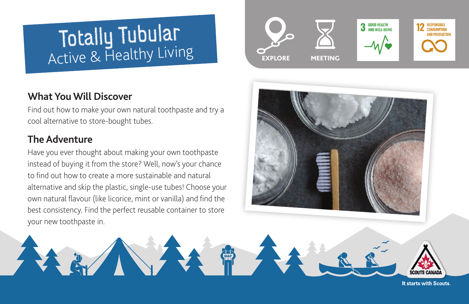# Totally Tubular Active & Healthy Living

## **What You Will Discover**

Find out how to make your own natural toothpaste and try a cool alternative to store-bought tubes.

## **The Adventure**

Have you ever thought about making your own toothpaste instead of buying it from the store? Well, now's your chance to find out how to create a more sustainable and natural alternative and skip the plastic, single-use tubes! Choose your own natural flavour (like licorice, mint or vanilla) and find the best consistency. Find the perfect reusable container to store your new toothpaste in.





It starts with Scouts.